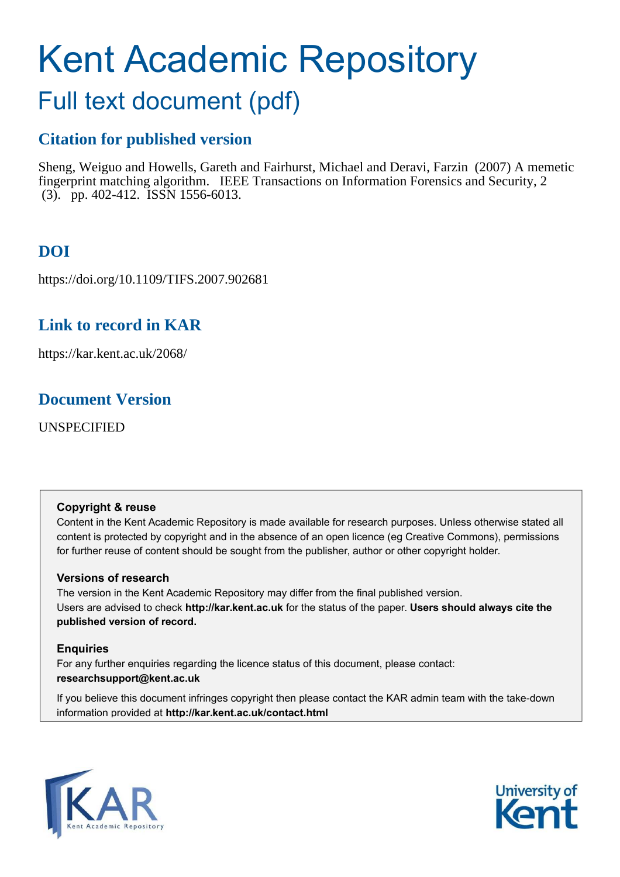# Kent Academic Repository

# Full text document (pdf)

# **Citation for published version**

Sheng, Weiguo and Howells, Gareth and Fairhurst, Michael and Deravi, Farzin (2007) A memetic fingerprint matching algorithm. IEEE Transactions on Information Forensics and Security, 2 (3). pp. 402-412. ISSN 1556-6013.

# **DOI**

https://doi.org/10.1109/TIFS.2007.902681

# **Link to record in KAR**

https://kar.kent.ac.uk/2068/

# **Document Version**

UNSPECIFIED

## **Copyright & reuse**

Content in the Kent Academic Repository is made available for research purposes. Unless otherwise stated all content is protected by copyright and in the absence of an open licence (eg Creative Commons), permissions for further reuse of content should be sought from the publisher, author or other copyright holder.

## **Versions of research**

The version in the Kent Academic Repository may differ from the final published version. Users are advised to check **http://kar.kent.ac.uk** for the status of the paper. **Users should always cite the published version of record.**

## **Enquiries**

For any further enquiries regarding the licence status of this document, please contact: **researchsupport@kent.ac.uk**

If you believe this document infringes copyright then please contact the KAR admin team with the take-down information provided at **http://kar.kent.ac.uk/contact.html**



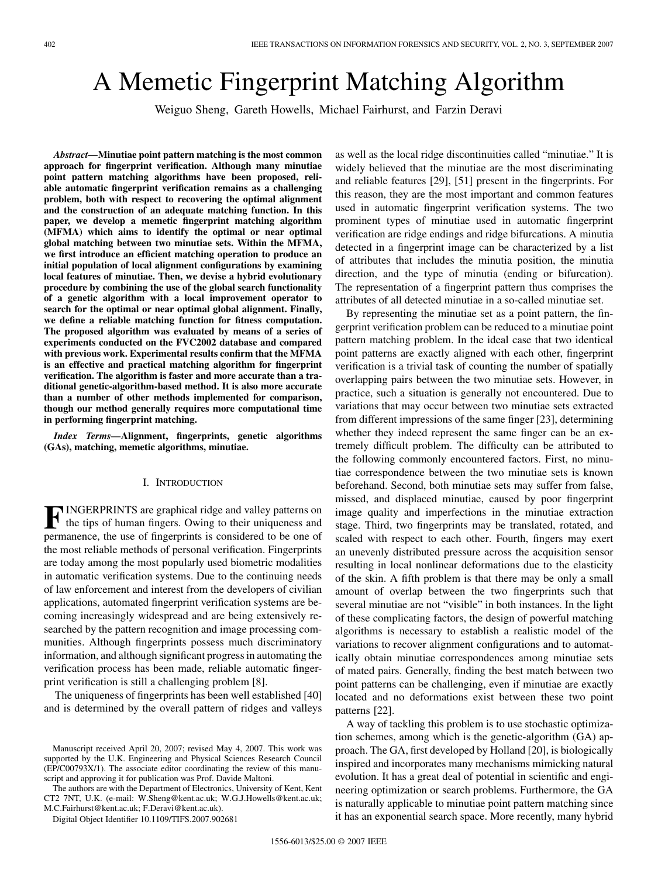# A Memetic Fingerprint Matching Algorithm

Weiguo Sheng, Gareth Howells, Michael Fairhurst, and Farzin Deravi

*Abstract—***Minutiae point pattern matching is the most common approach for fingerprint verification. Although many minutiae point pattern matching algorithms have been proposed, reliable automatic fingerprint verification remains as a challenging problem, both with respect to recovering the optimal alignment and the construction of an adequate matching function. In this paper, we develop a memetic fingerprint matching algorithm (MFMA) which aims to identify the optimal or near optimal global matching between two minutiae sets. Within the MFMA, we first introduce an efficient matching operation to produce an initial population of local alignment configurations by examining local features of minutiae. Then, we devise a hybrid evolutionary procedure by combining the use of the global search functionality of a genetic algorithm with a local improvement operator to search for the optimal or near optimal global alignment. Finally, we define a reliable matching function for fitness computation. The proposed algorithm was evaluated by means of a series of experiments conducted on the FVC2002 database and compared with previous work. Experimental results confirm that the MFMA is an effective and practical matching algorithm for fingerprint verification. The algorithm is faster and more accurate than a traditional genetic-algorithm-based method. It is also more accurate than a number of other methods implemented for comparison, though our method generally requires more computational time in performing fingerprint matching.**

*Index Terms—***Alignment, fingerprints, genetic algorithms (GAs), matching, memetic algorithms, minutiae.**

#### I. INTRODUCTION

**F** INGERPRINTS are graphical ridge and valley patterns on the tips of human fingers. Owing to their uniqueness and the tips of human fingers. Owing to their uniqueness and permanence, the use of fingerprints is considered to be one of the most reliable methods of personal verification. Fingerprints are today among the most popularly used biometric modalities in automatic verification systems. Due to the continuing needs of law enforcement and interest from the developers of civilian applications, automated fingerprint verification systems are becoming increasingly widespread and are being extensively researched by the pattern recognition and image processing communities. Although fingerprints possess much discriminatory information, and although significant progress in automating the verification process has been made, reliable automatic fingerprint verification is still a challenging problem [8].

The uniqueness of fingerprints has been well established [40] and is determined by the overall pattern of ridges and valleys

The authors are with the Department of Electronics, University of Kent, Kent CT2 7NT, U.K. (e-mail: W.Sheng@kent.ac.uk; W.G.J.Howells@kent.ac.uk; M.C.Fairhurst@kent.ac.uk; F.Deravi@kent.ac.uk).

Digital Object Identifier 10.1109/TIFS.2007.902681

as well as the local ridge discontinuities called "minutiae." It is widely believed that the minutiae are the most discriminating and reliable features [29], [51] present in the fingerprints. For this reason, they are the most important and common features used in automatic fingerprint verification systems. The two prominent types of minutiae used in automatic fingerprint verification are ridge endings and ridge bifurcations. A minutia detected in a fingerprint image can be characterized by a list of attributes that includes the minutia position, the minutia direction, and the type of minutia (ending or bifurcation). The representation of a fingerprint pattern thus comprises the attributes of all detected minutiae in a so-called minutiae set.

By representing the minutiae set as a point pattern, the fingerprint verification problem can be reduced to a minutiae point pattern matching problem. In the ideal case that two identical point patterns are exactly aligned with each other, fingerprint verification is a trivial task of counting the number of spatially overlapping pairs between the two minutiae sets. However, in practice, such a situation is generally not encountered. Due to variations that may occur between two minutiae sets extracted from different impressions of the same finger [23], determining whether they indeed represent the same finger can be an extremely difficult problem. The difficulty can be attributed to the following commonly encountered factors. First, no minutiae correspondence between the two minutiae sets is known beforehand. Second, both minutiae sets may suffer from false, missed, and displaced minutiae, caused by poor fingerprint image quality and imperfections in the minutiae extraction stage. Third, two fingerprints may be translated, rotated, and scaled with respect to each other. Fourth, fingers may exert an unevenly distributed pressure across the acquisition sensor resulting in local nonlinear deformations due to the elasticity of the skin. A fifth problem is that there may be only a small amount of overlap between the two fingerprints such that several minutiae are not "visible" in both instances. In the light of these complicating factors, the design of powerful matching algorithms is necessary to establish a realistic model of the variations to recover alignment configurations and to automatically obtain minutiae correspondences among minutiae sets of mated pairs. Generally, finding the best match between two point patterns can be challenging, even if minutiae are exactly located and no deformations exist between these two point patterns [22].

A way of tackling this problem is to use stochastic optimization schemes, among which is the genetic-algorithm (GA) approach. The GA, first developed by Holland [20], is biologically inspired and incorporates many mechanisms mimicking natural evolution. It has a great deal of potential in scientific and engineering optimization or search problems. Furthermore, the GA is naturally applicable to minutiae point pattern matching since it has an exponential search space. More recently, many hybrid

Manuscript received April 20, 2007; revised May 4, 2007. This work was supported by the U.K. Engineering and Physical Sciences Research Council (EP/C00793X/1). The associate editor coordinating the review of this manuscript and approving it for publication was Prof. Davide Maltoni.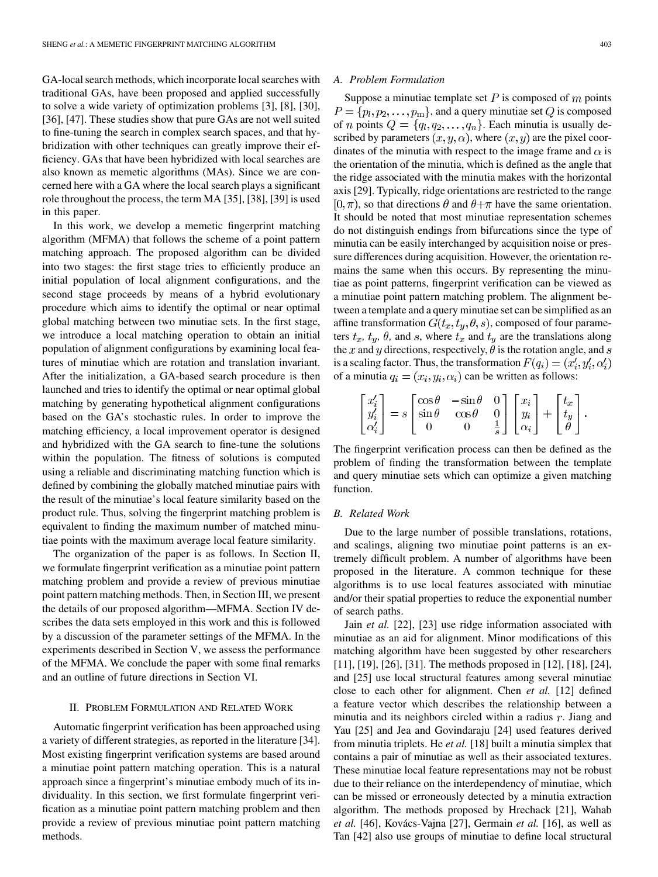GA-local search methods, which incorporate local searches with traditional GAs, have been proposed and applied successfully to solve a wide variety of optimization problems [3], [8], [30], [36], [47]. These studies show that pure GAs are not well suited to fine-tuning the search in complex search spaces, and that hybridization with other techniques can greatly improve their efficiency. GAs that have been hybridized with local searches are also known as memetic algorithms (MAs). Since we are concerned here with a GA where the local search plays a significant role throughout the process, the term MA [35], [38], [39] is used in this paper.

In this work, we develop a memetic fingerprint matching algorithm (MFMA) that follows the scheme of a point pattern matching approach. The proposed algorithm can be divided into two stages: the first stage tries to efficiently produce an initial population of local alignment configurations, and the second stage proceeds by means of a hybrid evolutionary procedure which aims to identify the optimal or near optimal global matching between two minutiae sets. In the first stage, we introduce a local matching operation to obtain an initial population of alignment configurations by examining local features of minutiae which are rotation and translation invariant. After the initialization, a GA-based search procedure is then launched and tries to identify the optimal or near optimal global matching by generating hypothetical alignment configurations based on the GA's stochastic rules. In order to improve the matching efficiency, a local improvement operator is designed and hybridized with the GA search to fine-tune the solutions within the population. The fitness of solutions is computed using a reliable and discriminating matching function which is defined by combining the globally matched minutiae pairs with the result of the minutiae's local feature similarity based on the product rule. Thus, solving the fingerprint matching problem is equivalent to finding the maximum number of matched minutiae points with the maximum average local feature similarity.

The organization of the paper is as follows. In Section II, we formulate fingerprint verification as a minutiae point pattern matching problem and provide a review of previous minutiae point pattern matching methods. Then, in Section III, we present the details of our proposed algorithm—MFMA. Section IV describes the data sets employed in this work and this is followed by a discussion of the parameter settings of the MFMA. In the experiments described in Section V, we assess the performance of the MFMA. We conclude the paper with some final remarks and an outline of future directions in Section VI.

#### II. PROBLEM FORMULATION AND RELATED WORK

Automatic fingerprint verification has been approached using a variety of different strategies, as reported in the literature [34]. Most existing fingerprint verification systems are based around a minutiae point pattern matching operation. This is a natural approach since a fingerprint's minutiae embody much of its individuality. In this section, we first formulate fingerprint verification as a minutiae point pattern matching problem and then provide a review of previous minutiae point pattern matching methods.

#### *A. Problem Formulation*

Suppose a minutiae template set  $P$  is composed of  $m$  points  $P = \{p_1, p_2, \ldots, p_m\}$ , and a query minutiae set Q is composed of *n* points  $Q = \{q_1, q_2, \ldots, q_n\}$ . Each minutia is usually described by parameters  $(x, y, \alpha)$ , where  $(x, y)$  are the pixel coordinates of the minutia with respect to the image frame and  $\alpha$  is the orientation of the minutia, which is defined as the angle that the ridge associated with the minutia makes with the horizontal axis [29]. Typically, ridge orientations are restricted to the range  $[0, \pi)$ , so that directions  $\theta$  and  $\theta + \pi$  have the same orientation. It should be noted that most minutiae representation schemes do not distinguish endings from bifurcations since the type of minutia can be easily interchanged by acquisition noise or pressure differences during acquisition. However, the orientation remains the same when this occurs. By representing the minutiae as point patterns, fingerprint verification can be viewed as a minutiae point pattern matching problem. The alignment between a template and a query minutiae set can be simplified as an affine transformation  $G(t_x, t_y, \theta, s)$ , composed of four parameters  $t_x$ ,  $t_y$ ,  $\theta$ , and s, where  $t_x$  and  $t_y$  are the translations along the x and y directions, respectively,  $\theta$  is the rotation angle, and s is a scaling factor. Thus, the transformation  $F(q_i) = (x'_i, y'_i, \alpha'_i)$ of a minutia  $q_i = (x_i, y_i, \alpha_i)$  can be written as follows:

$$
\begin{bmatrix} x_i' \\ y_i' \\ \alpha_i' \end{bmatrix} = s \begin{bmatrix} \cos \theta & -\sin \theta & 0 \\ \sin \theta & \cos \theta & 0 \\ 0 & 0 & \frac{1}{s} \end{bmatrix} \begin{bmatrix} x_i \\ y_i \\ \alpha_i \end{bmatrix} + \begin{bmatrix} t_x \\ t_y \\ \theta \end{bmatrix}.
$$

The fingerprint verification process can then be defined as the problem of finding the transformation between the template and query minutiae sets which can optimize a given matching function.

#### *B. Related Work*

Due to the large number of possible translations, rotations, and scalings, aligning two minutiae point patterns is an extremely difficult problem. A number of algorithms have been proposed in the literature. A common technique for these algorithms is to use local features associated with minutiae and/or their spatial properties to reduce the exponential number of search paths.

Jain *et al.* [22], [23] use ridge information associated with minutiae as an aid for alignment. Minor modifications of this matching algorithm have been suggested by other researchers [11], [19], [26], [31]. The methods proposed in [12], [18], [24], and [25] use local structural features among several minutiae close to each other for alignment. Chen *et al.* [12] defined a feature vector which describes the relationship between a minutia and its neighbors circled within a radius  $r$ . Jiang and Yau [25] and Jea and Govindaraju [24] used features derived from minutia triplets. He *et al.* [18] built a minutia simplex that contains a pair of minutiae as well as their associated textures. These minutiae local feature representations may not be robust due to their reliance on the interdependency of minutiae, which can be missed or erroneously detected by a minutia extraction algorithm. The methods proposed by Hrechack [21], Wahab *et al.* [46], Kovács-Vajna [27], Germain *et al.* [16], as well as Tan [42] also use groups of minutiae to define local structural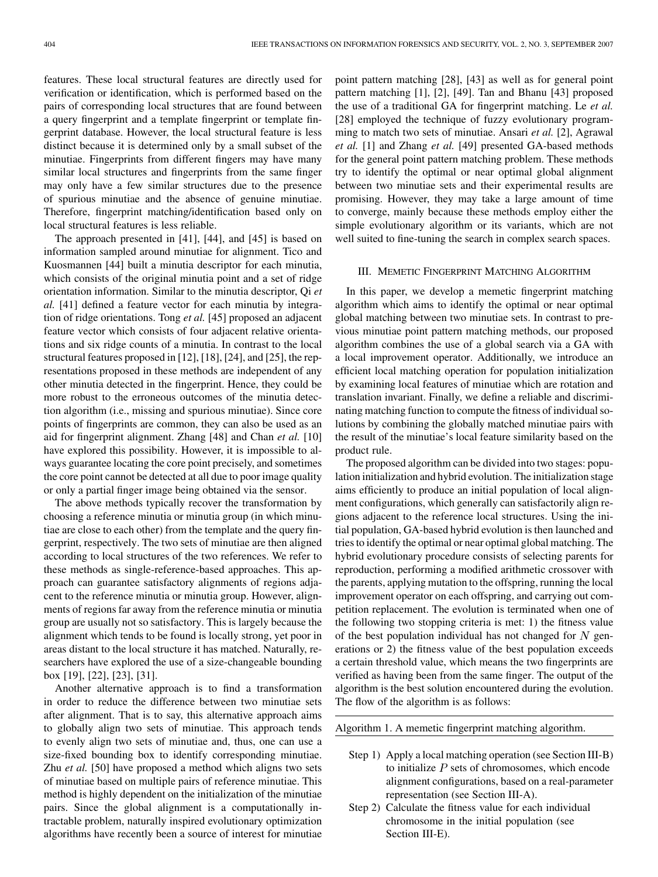features. These local structural features are directly used for verification or identification, which is performed based on the pairs of corresponding local structures that are found between a query fingerprint and a template fingerprint or template fingerprint database. However, the local structural feature is less distinct because it is determined only by a small subset of the minutiae. Fingerprints from different fingers may have many similar local structures and fingerprints from the same finger may only have a few similar structures due to the presence of spurious minutiae and the absence of genuine minutiae. Therefore, fingerprint matching/identification based only on local structural features is less reliable.

The approach presented in [41], [44], and [45] is based on information sampled around minutiae for alignment. Tico and Kuosmannen [44] built a minutia descriptor for each minutia, which consists of the original minutia point and a set of ridge orientation information. Similar to the minutia descriptor, Qi *et al.* [41] defined a feature vector for each minutia by integration of ridge orientations. Tong *et al.* [45] proposed an adjacent feature vector which consists of four adjacent relative orientations and six ridge counts of a minutia. In contrast to the local structural features proposed in [12], [18], [24], and [25], the representations proposed in these methods are independent of any other minutia detected in the fingerprint. Hence, they could be more robust to the erroneous outcomes of the minutia detection algorithm (i.e., missing and spurious minutiae). Since core points of fingerprints are common, they can also be used as an aid for fingerprint alignment. Zhang [48] and Chan *et al.* [10] have explored this possibility. However, it is impossible to always guarantee locating the core point precisely, and sometimes the core point cannot be detected at all due to poor image quality or only a partial finger image being obtained via the sensor.

The above methods typically recover the transformation by choosing a reference minutia or minutia group (in which minutiae are close to each other) from the template and the query fingerprint, respectively. The two sets of minutiae are then aligned according to local structures of the two references. We refer to these methods as single-reference-based approaches. This approach can guarantee satisfactory alignments of regions adjacent to the reference minutia or minutia group. However, alignments of regions far away from the reference minutia or minutia group are usually not so satisfactory. This is largely because the alignment which tends to be found is locally strong, yet poor in areas distant to the local structure it has matched. Naturally, researchers have explored the use of a size-changeable bounding box [19], [22], [23], [31].

Another alternative approach is to find a transformation in order to reduce the difference between two minutiae sets after alignment. That is to say, this alternative approach aims to globally align two sets of minutiae. This approach tends to evenly align two sets of minutiae and, thus, one can use a size-fixed bounding box to identify corresponding minutiae. Zhu *et al.* [50] have proposed a method which aligns two sets of minutiae based on multiple pairs of reference minutiae. This method is highly dependent on the initialization of the minutiae pairs. Since the global alignment is a computationally intractable problem, naturally inspired evolutionary optimization algorithms have recently been a source of interest for minutiae

point pattern matching [28], [43] as well as for general point pattern matching [1], [2], [49]. Tan and Bhanu [43] proposed the use of a traditional GA for fingerprint matching. Le *et al.* [28] employed the technique of fuzzy evolutionary programming to match two sets of minutiae. Ansari *et al.* [2], Agrawal *et al.* [1] and Zhang *et al.* [49] presented GA-based methods for the general point pattern matching problem. These methods try to identify the optimal or near optimal global alignment between two minutiae sets and their experimental results are promising. However, they may take a large amount of time to converge, mainly because these methods employ either the simple evolutionary algorithm or its variants, which are not well suited to fine-tuning the search in complex search spaces.

#### III. MEMETIC FINGERPRINT MATCHING ALGORITHM

In this paper, we develop a memetic fingerprint matching algorithm which aims to identify the optimal or near optimal global matching between two minutiae sets. In contrast to previous minutiae point pattern matching methods, our proposed algorithm combines the use of a global search via a GA with a local improvement operator. Additionally, we introduce an efficient local matching operation for population initialization by examining local features of minutiae which are rotation and translation invariant. Finally, we define a reliable and discriminating matching function to compute the fitness of individual solutions by combining the globally matched minutiae pairs with the result of the minutiae's local feature similarity based on the product rule.

The proposed algorithm can be divided into two stages: population initialization and hybrid evolution. The initialization stage aims efficiently to produce an initial population of local alignment configurations, which generally can satisfactorily align regions adjacent to the reference local structures. Using the initial population, GA-based hybrid evolution is then launched and tries to identify the optimal or near optimal global matching. The hybrid evolutionary procedure consists of selecting parents for reproduction, performing a modified arithmetic crossover with the parents, applying mutation to the offspring, running the local improvement operator on each offspring, and carrying out competition replacement. The evolution is terminated when one of the following two stopping criteria is met: 1) the fitness value of the best population individual has not changed for  $N$  generations or 2) the fitness value of the best population exceeds a certain threshold value, which means the two fingerprints are verified as having been from the same finger. The output of the algorithm is the best solution encountered during the evolution. The flow of the algorithm is as follows:

Algorithm 1. A memetic fingerprint matching algorithm.

- Step 1) Apply a local matching operation (see Section III-B) to initialize  $P$  sets of chromosomes, which encode alignment configurations, based on a real-parameter representation (see Section III-A).
- Step 2) Calculate the fitness value for each individual chromosome in the initial population (see Section III-E).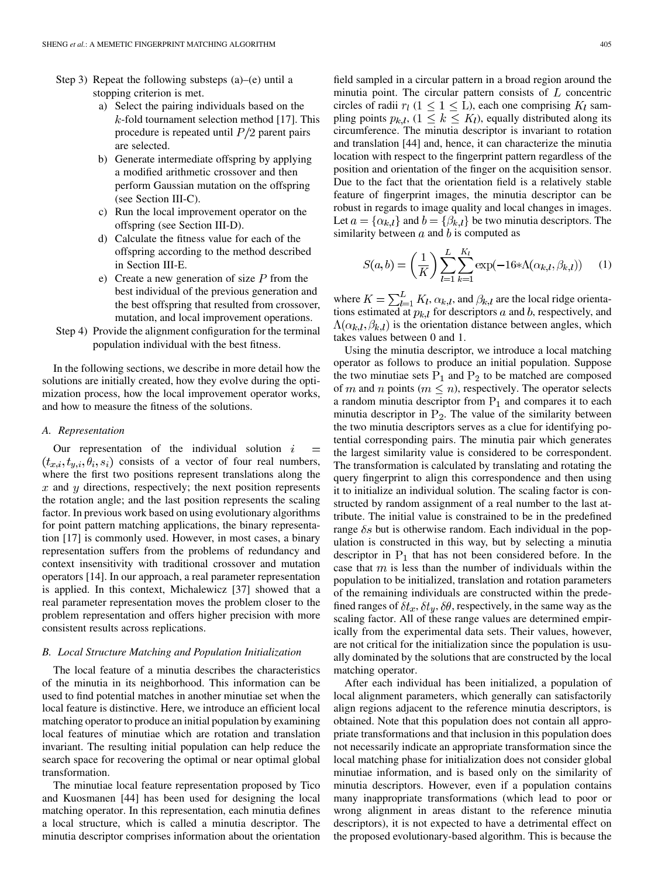- Step 3) Repeat the following substeps (a)–(e) until a stopping criterion is met.
	- a) Select the pairing individuals based on the  $k$ -fold tournament selection method [17]. This procedure is repeated until  $P/2$  parent pairs are selected.
	- b) Generate intermediate offspring by applying a modified arithmetic crossover and then perform Gaussian mutation on the offspring (see Section III-C).
	- c) Run the local improvement operator on the offspring (see Section III-D).
	- d) Calculate the fitness value for each of the offspring according to the method described in Section III-E.
	- e) Create a new generation of size  $P$  from the best individual of the previous generation and the best offspring that resulted from crossover, mutation, and local improvement operations.
- Step 4) Provide the alignment configuration for the terminal population individual with the best fitness.

In the following sections, we describe in more detail how the solutions are initially created, how they evolve during the optimization process, how the local improvement operator works, and how to measure the fitness of the solutions.

#### *A. Representation*

Our representation of the individual solution  $i$  $(t_{x,i}, t_{y,i}, \theta_i, s_i)$  consists of a vector of four real numbers, where the first two positions represent translations along the  $x$  and  $y$  directions, respectively; the next position represents the rotation angle; and the last position represents the scaling factor. In previous work based on using evolutionary algorithms for point pattern matching applications, the binary representation [17] is commonly used. However, in most cases, a binary representation suffers from the problems of redundancy and context insensitivity with traditional crossover and mutation operators [14]. In our approach, a real parameter representation is applied. In this context, Michalewicz [37] showed that a real parameter representation moves the problem closer to the problem representation and offers higher precision with more consistent results across replications.

#### *B. Local Structure Matching and Population Initialization*

The local feature of a minutia describes the characteristics of the minutia in its neighborhood. This information can be used to find potential matches in another minutiae set when the local feature is distinctive. Here, we introduce an efficient local matching operator to produce an initial population by examining local features of minutiae which are rotation and translation invariant. The resulting initial population can help reduce the search space for recovering the optimal or near optimal global transformation.

The minutiae local feature representation proposed by Tico and Kuosmanen [44] has been used for designing the local matching operator. In this representation, each minutia defines a local structure, which is called a minutia descriptor. The minutia descriptor comprises information about the orientation field sampled in a circular pattern in a broad region around the minutia point. The circular pattern consists of  $L$  concentric circles of radii  $r_l$  ( $1 \leq 1 \leq L$ ), each one comprising  $K_l$  sampling points  $p_{k,l}$ ,  $(1 \leq k \leq K_l)$ , equally distributed along its circumference. The minutia descriptor is invariant to rotation and translation [44] and, hence, it can characterize the minutia location with respect to the fingerprint pattern regardless of the position and orientation of the finger on the acquisition sensor. Due to the fact that the orientation field is a relatively stable feature of fingerprint images, the minutia descriptor can be robust in regards to image quality and local changes in images. Let  $a = {\alpha_{k,l}}$  and  $b = {\beta_{k,l}}$  be two minutia descriptors. The similarity between  $a$  and  $b$  is computed as

$$
S(a,b) = \left(\frac{1}{K}\right) \sum_{l=1}^{L} \sum_{k=1}^{K_l} \exp(-16 * \Lambda(\alpha_{k,l}, \beta_{k,l})) \tag{1}
$$

where  $K = \sum_{l=1}^{L} K_l$ ,  $\alpha_{k,l}$ , and  $\beta_{k,l}$  are the local ridge orientations estimated at  $p_{k,l}$  for descriptors a and b, respectively, and  $\Lambda(\alpha_{k,l}, \beta_{k,l})$  is the orientation distance between angles, which takes values between 0 and 1.

Using the minutia descriptor, we introduce a local matching operator as follows to produce an initial population. Suppose the two minutiae sets  $P_1$  and  $P_2$  to be matched are composed of m and n points ( $m \leq n$ ), respectively. The operator selects a random minutia descriptor from  $P_1$  and compares it to each minutia descriptor in  $P_2$ . The value of the similarity between the two minutia descriptors serves as a clue for identifying potential corresponding pairs. The minutia pair which generates the largest similarity value is considered to be correspondent. The transformation is calculated by translating and rotating the query fingerprint to align this correspondence and then using it to initialize an individual solution. The scaling factor is constructed by random assignment of a real number to the last attribute. The initial value is constrained to be in the predefined range  $\delta s$  but is otherwise random. Each individual in the population is constructed in this way, but by selecting a minutia descriptor in  $P_1$  that has not been considered before. In the case that  $m$  is less than the number of individuals within the population to be initialized, translation and rotation parameters of the remaining individuals are constructed within the predefined ranges of  $\delta t_x$ ,  $\delta t_y$ ,  $\delta \theta$ , respectively, in the same way as the scaling factor. All of these range values are determined empirically from the experimental data sets. Their values, however, are not critical for the initialization since the population is usually dominated by the solutions that are constructed by the local matching operator.

After each individual has been initialized, a population of local alignment parameters, which generally can satisfactorily align regions adjacent to the reference minutia descriptors, is obtained. Note that this population does not contain all appropriate transformations and that inclusion in this population does not necessarily indicate an appropriate transformation since the local matching phase for initialization does not consider global minutiae information, and is based only on the similarity of minutia descriptors. However, even if a population contains many inappropriate transformations (which lead to poor or wrong alignment in areas distant to the reference minutia descriptors), it is not expected to have a detrimental effect on the proposed evolutionary-based algorithm. This is because the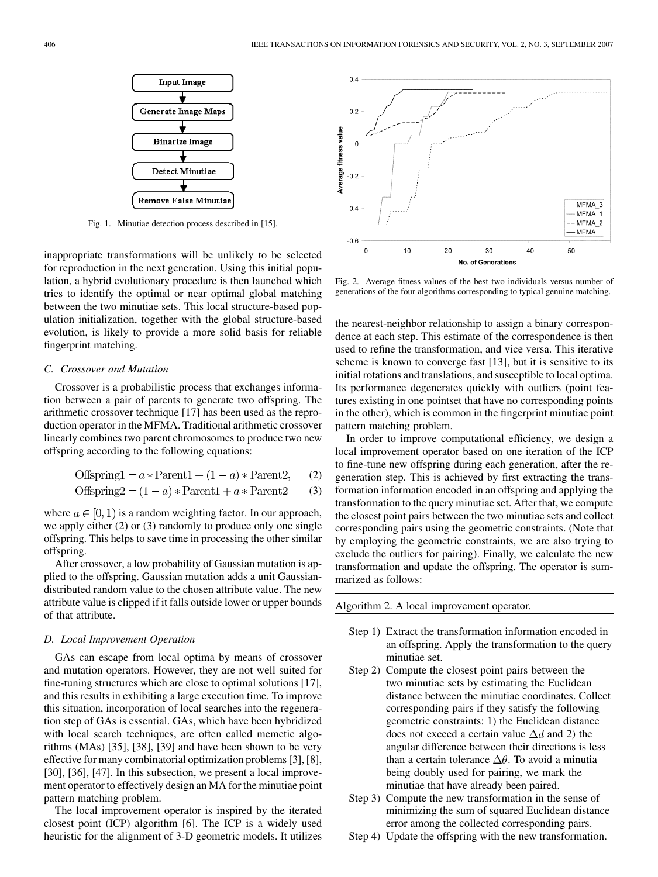

Fig. 1. Minutiae detection process described in [15].

inappropriate transformations will be unlikely to be selected for reproduction in the next generation. Using this initial population, a hybrid evolutionary procedure is then launched which tries to identify the optimal or near optimal global matching between the two minutiae sets. This local structure-based population initialization, together with the global structure-based evolution, is likely to provide a more solid basis for reliable fingerprint matching.

#### *C. Crossover and Mutation*

Crossover is a probabilistic process that exchanges information between a pair of parents to generate two offspring. The arithmetic crossover technique [17] has been used as the reproduction operator in the MFMA. Traditional arithmetic crossover linearly combines two parent chromosomes to produce two new offspring according to the following equations:

$$
Offspring 1 = a * Parent 1 + (1 - a) * Parent 2,
$$
 (2)

$$
\text{Offspring2} = (1 - a) * \text{Parent1} + a * \text{Parent2} \tag{3}
$$

where  $a \in [0, 1)$  is a random weighting factor. In our approach, we apply either (2) or (3) randomly to produce only one single offspring. This helps to save time in processing the other similar offspring.

After crossover, a low probability of Gaussian mutation is applied to the offspring. Gaussian mutation adds a unit Gaussiandistributed random value to the chosen attribute value. The new attribute value is clipped if it falls outside lower or upper bounds of that attribute.

#### *D. Local Improvement Operation*

GAs can escape from local optima by means of crossover and mutation operators. However, they are not well suited for fine-tuning structures which are close to optimal solutions [17], and this results in exhibiting a large execution time. To improve this situation, incorporation of local searches into the regeneration step of GAs is essential. GAs, which have been hybridized with local search techniques, are often called memetic algorithms (MAs) [35], [38], [39] and have been shown to be very effective for many combinatorial optimization problems [3], [8], [30], [36], [47]. In this subsection, we present a local improvement operator to effectively design an MA for the minutiae point pattern matching problem.

The local improvement operator is inspired by the iterated closest point (ICP) algorithm [6]. The ICP is a widely used heuristic for the alignment of 3-D geometric models. It utilizes



Fig. 2. Average fitness values of the best two individuals versus number of generations of the four algorithms corresponding to typical genuine matching.

the nearest-neighbor relationship to assign a binary correspondence at each step. This estimate of the correspondence is then used to refine the transformation, and vice versa. This iterative scheme is known to converge fast [13], but it is sensitive to its initial rotations and translations, and susceptible to local optima. Its performance degenerates quickly with outliers (point features existing in one pointset that have no corresponding points in the other), which is common in the fingerprint minutiae point pattern matching problem.

In order to improve computational efficiency, we design a local improvement operator based on one iteration of the ICP to fine-tune new offspring during each generation, after the regeneration step. This is achieved by first extracting the transformation information encoded in an offspring and applying the transformation to the query minutiae set. After that, we compute the closest point pairs between the two minutiae sets and collect corresponding pairs using the geometric constraints. (Note that by employing the geometric constraints, we are also trying to exclude the outliers for pairing). Finally, we calculate the new transformation and update the offspring. The operator is summarized as follows:

Algorithm 2. A local improvement operator.

- Step 1) Extract the transformation information encoded in an offspring. Apply the transformation to the query minutiae set.
- Step 2) Compute the closest point pairs between the two minutiae sets by estimating the Euclidean distance between the minutiae coordinates. Collect corresponding pairs if they satisfy the following geometric constraints: 1) the Euclidean distance does not exceed a certain value  $\Delta d$  and 2) the angular difference between their directions is less than a certain tolerance  $\Delta\theta$ . To avoid a minutia being doubly used for pairing, we mark the minutiae that have already been paired.
- Step 3) Compute the new transformation in the sense of minimizing the sum of squared Euclidean distance error among the collected corresponding pairs.
- Step 4) Update the offspring with the new transformation.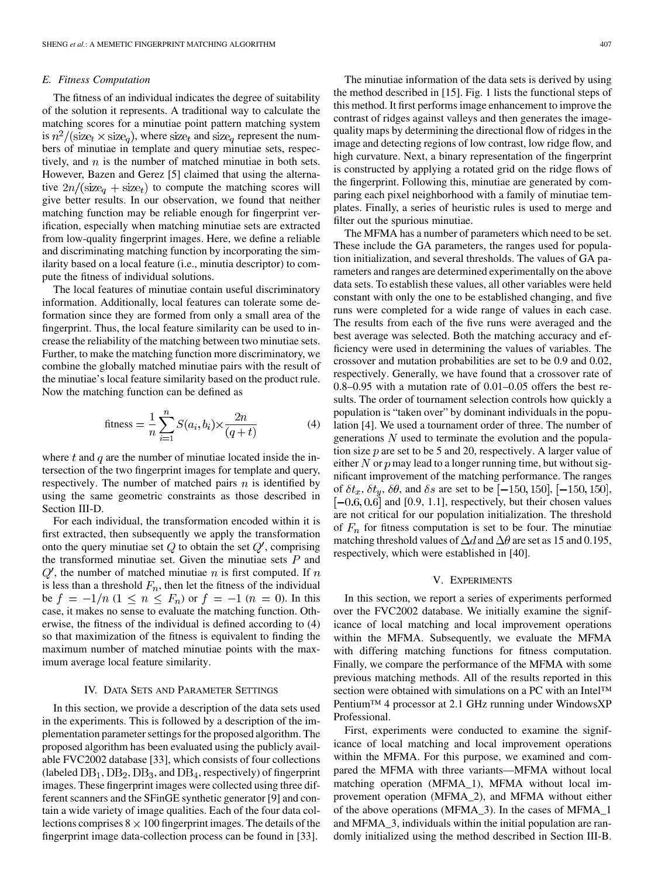#### *E. Fitness Computation*

The fitness of an individual indicates the degree of suitability of the solution it represents. A traditional way to calculate the matching scores for a minutiae point pattern matching system is  $n^2/(\text{size}_t \times \text{size}_q)$ , where size<sub>t</sub> and size<sub>q</sub> represent the numbers of minutiae in template and query minutiae sets, respectively, and  $n$  is the number of matched minutiae in both sets. However, Bazen and Gerez [5] claimed that using the alternative  $2n/(size_q + size_t)$  to compute the matching scores will give better results. In our observation, we found that neither matching function may be reliable enough for fingerprint verification, especially when matching minutiae sets are extracted from low-quality fingerprint images. Here, we define a reliable and discriminating matching function by incorporating the similarity based on a local feature (i.e., minutia descriptor) to compute the fitness of individual solutions.

The local features of minutiae contain useful discriminatory information. Additionally, local features can tolerate some deformation since they are formed from only a small area of the fingerprint. Thus, the local feature similarity can be used to increase the reliability of the matching between two minutiae sets. Further, to make the matching function more discriminatory, we combine the globally matched minutiae pairs with the result of the minutiae's local feature similarity based on the product rule. Now the matching function can be defined as

$$
\text{fitness} = \frac{1}{n} \sum_{i=1}^{n} S(a_i, b_i) \times \frac{2n}{(q+t)} \tag{4}
$$

where  $t$  and  $q$  are the number of minutiae located inside the intersection of the two fingerprint images for template and query, respectively. The number of matched pairs  $n$  is identified by using the same geometric constraints as those described in Section III-D.

For each individual, the transformation encoded within it is first extracted, then subsequently we apply the transformation onto the query minutiae set  $Q$  to obtain the set  $Q'$ , comprising the transformed minutiae set. Given the minutiae sets  $P$  and  $Q'$ , the number of matched minutiae n is first computed. If n is less than a threshold  $F_n$ , then let the fitness of the individual be  $f = -1/n$   $(1 \le n \le F_n)$  or  $f = -1$   $(n = 0)$ . In this case, it makes no sense to evaluate the matching function. Otherwise, the fitness of the individual is defined according to (4) so that maximization of the fitness is equivalent to finding the maximum number of matched minutiae points with the maximum average local feature similarity.

#### IV. DATA SETS AND PARAMETER SETTINGS

In this section, we provide a description of the data sets used in the experiments. This is followed by a description of the implementation parameter settings for the proposed algorithm. The proposed algorithm has been evaluated using the publicly available FVC2002 database [33], which consists of four collections (labeled  $\text{DB}_1$ ,  $\text{DB}_2$ ,  $\text{DB}_3$ , and  $\text{DB}_4$ , respectively) of fingerprint images. These fingerprint images were collected using three different scanners and the SFinGE synthetic generator [9] and contain a wide variety of image qualities. Each of the four data collections comprises  $8 \times 100$  fingerprint images. The details of the fingerprint image data-collection process can be found in [33].

The minutiae information of the data sets is derived by using the method described in [15]. Fig. 1 lists the functional steps of this method. It first performs image enhancement to improve the contrast of ridges against valleys and then generates the imagequality maps by determining the directional flow of ridges in the image and detecting regions of low contrast, low ridge flow, and high curvature. Next, a binary representation of the fingerprint is constructed by applying a rotated grid on the ridge flows of the fingerprint. Following this, minutiae are generated by comparing each pixel neighborhood with a family of minutiae templates. Finally, a series of heuristic rules is used to merge and filter out the spurious minutiae.

The MFMA has a number of parameters which need to be set. These include the GA parameters, the ranges used for population initialization, and several thresholds. The values of GA parameters and ranges are determined experimentally on the above data sets. To establish these values, all other variables were held constant with only the one to be established changing, and five runs were completed for a wide range of values in each case. The results from each of the five runs were averaged and the best average was selected. Both the matching accuracy and efficiency were used in determining the values of variables. The crossover and mutation probabilities are set to be 0.9 and 0.02, respectively. Generally, we have found that a crossover rate of 0.8–0.95 with a mutation rate of 0.01–0.05 offers the best results. The order of tournament selection controls how quickly a population is "taken over" by dominant individuals in the population [4]. We used a tournament order of three. The number of generations  $N$  used to terminate the evolution and the population size  $p$  are set to be 5 and 20, respectively. A larger value of either N or  $p$  may lead to a longer running time, but without significant improvement of the matching performance. The ranges of  $\delta t_x$ ,  $\delta t_y$ ,  $\delta \theta$ , and  $\delta s$  are set to be  $[-150, 150]$ ,  $[-150, 150]$ ,  $[-0.6, 0.6]$  and [0.9, 1.1], respectively, but their chosen values are not critical for our population initialization. The threshold of  $F_n$  for fitness computation is set to be four. The minutiae matching threshold values of  $\Delta d$  and  $\Delta \theta$  are set as 15 and 0.195, respectively, which were established in [40].

#### V. EXPERIMENTS

In this section, we report a series of experiments performed over the FVC2002 database. We initially examine the significance of local matching and local improvement operations within the MFMA. Subsequently, we evaluate the MFMA with differing matching functions for fitness computation. Finally, we compare the performance of the MFMA with some previous matching methods. All of the results reported in this section were obtained with simulations on a PC with an Intel™ Pentium™ 4 processor at 2.1 GHz running under WindowsXP Professional.

First, experiments were conducted to examine the significance of local matching and local improvement operations within the MFMA. For this purpose, we examined and compared the MFMA with three variants—MFMA without local matching operation (MFMA\_1), MFMA without local improvement operation (MFMA\_2), and MFMA without either of the above operations (MFMA\_3). In the cases of MFMA\_1 and MFMA\_3, individuals within the initial population are randomly initialized using the method described in Section III-B.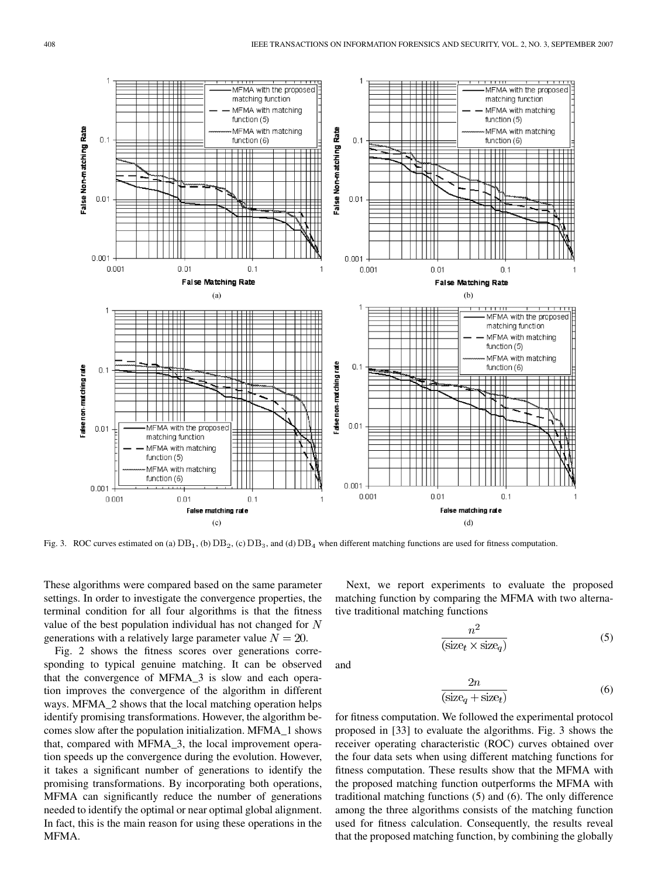

Fig. 3. ROC curves estimated on (a)  $DB_1$ , (b)  $DB_2$ , (c)  $DB_3$ , and (d)  $DB_4$  when different matching functions are used for fitness computation.

These algorithms were compared based on the same parameter settings. In order to investigate the convergence properties, the terminal condition for all four algorithms is that the fitness value of the best population individual has not changed for  $N$ generations with a relatively large parameter value  $N = 20$ .

Fig. 2 shows the fitness scores over generations corresponding to typical genuine matching. It can be observed that the convergence of MFMA\_3 is slow and each operation improves the convergence of the algorithm in different ways. MFMA\_2 shows that the local matching operation helps identify promising transformations. However, the algorithm becomes slow after the population initialization. MFMA\_1 shows that, compared with MFMA\_3, the local improvement operation speeds up the convergence during the evolution. However, it takes a significant number of generations to identify the promising transformations. By incorporating both operations, MFMA can significantly reduce the number of generations needed to identify the optimal or near optimal global alignment. In fact, this is the main reason for using these operations in the MFMA.

Next, we report experiments to evaluate the proposed matching function by comparing the MFMA with two alternative traditional matching functions

$$
\frac{n^2}{(\text{size}_t \times \text{size}_q)}\tag{5}
$$

and

$$
\frac{2n}{(\text{size}_q + \text{size}_t)}\tag{6}
$$

for fitness computation. We followed the experimental protocol proposed in [33] to evaluate the algorithms. Fig. 3 shows the receiver operating characteristic (ROC) curves obtained over the four data sets when using different matching functions for fitness computation. These results show that the MFMA with the proposed matching function outperforms the MFMA with traditional matching functions (5) and (6). The only difference among the three algorithms consists of the matching function used for fitness calculation. Consequently, the results reveal that the proposed matching function, by combining the globally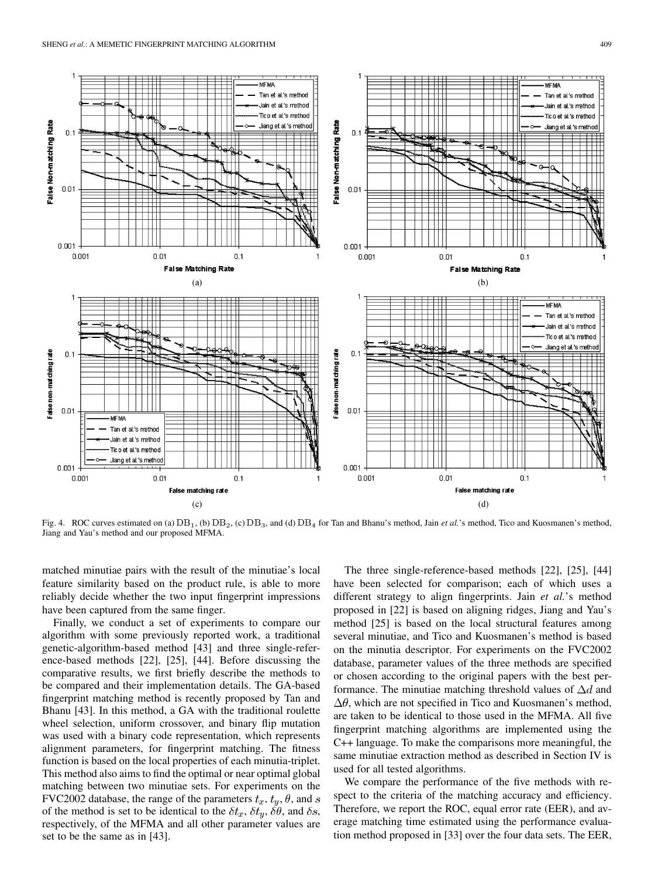

Fig. 4. ROC curves estimated on (a)  $DB_1$ , (b)  $DB_2$ , (c)  $DB_3$ , and (d)  $DB_4$  for Tan and Bhanu's method, Jain *et al.*'s method, Tico and Kuosmanen's method, Jiang and Yau's method and our proposed MFMA.

matched minutiae pairs with the result of the minutiae's local feature similarity based on the product rule, is able to more reliably decide whether the two input fingerprint impressions have been captured from the same finger.

Finally, we conduct a set of experiments to compare our algorithm with some previously reported work, a traditional genetic-algorithm-based method [43] and three single-reference-based methods [22], [25], [44]. Before discussing the comparative results, we first briefly describe the methods to be compared and their implementation details. The GA-based fingerprint matching method is recently proposed by Tan and Bhanu [43]. In this method, a GA with the traditional roulette wheel selection, uniform crossover, and binary flip mutation was used with a binary code representation, which represents alignment parameters, for fingerprint matching. The fitness function is based on the local properties of each minutia-triplet. This method also aims to find the optimal or near optimal global matching between two minutiae sets. For experiments on the FVC2002 database, the range of the parameters  $t_x, t_y, \theta$ , and s of the method is set to be identical to the  $\delta t_x$ ,  $\delta t_y$ ,  $\delta \theta$ , and  $\delta s$ , respectively, of the MFMA and all other parameter values are set to be the same as in [43].

The three single-reference-based methods [22], [25], [44] have been selected for comparison; each of which uses a different strategy to align fingerprints. Jain *et al.*'s method proposed in [22] is based on aligning ridges, Jiang and Yau's method [25] is based on the local structural features among several minutiae, and Tico and Kuosmanen's method is based on the minutia descriptor. For experiments on the FVC2002 database, parameter values of the three methods are specified or chosen according to the original papers with the best performance. The minutiae matching threshold values of  $\Delta d$  and  $\Delta\theta$ , which are not specified in Tico and Kuosmanen's method, are taken to be identical to those used in the MFMA. All five fingerprint matching algorithms are implemented using the C++ language. To make the comparisons more meaningful, the same minutiae extraction method as described in Section IV is used for all tested algorithms.

We compare the performance of the five methods with respect to the criteria of the matching accuracy and efficiency. Therefore, we report the ROC, equal error rate (EER), and average matching time estimated using the performance evaluation method proposed in [33] over the four data sets. The EER,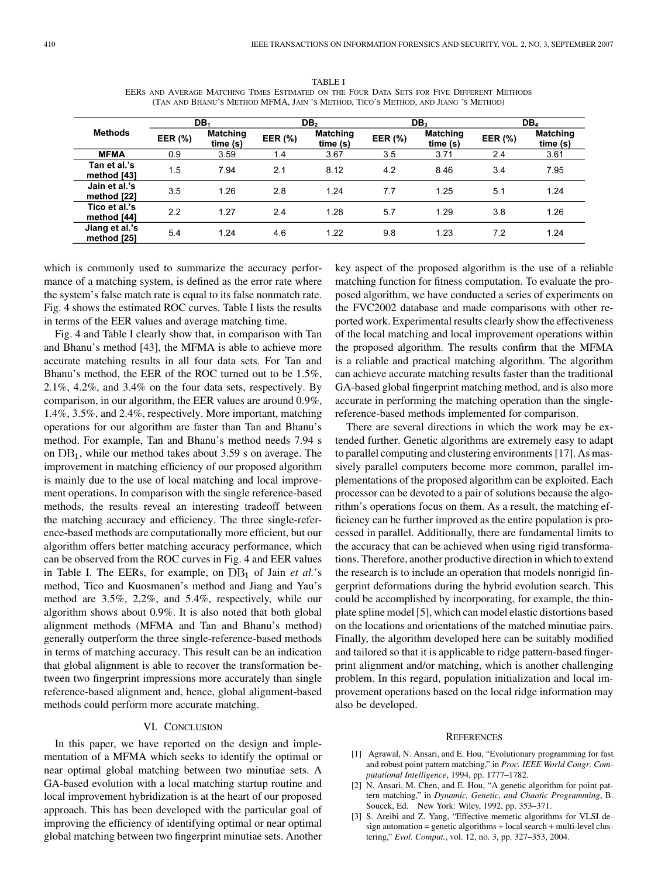| <b>Methods</b>                | DB <sub>1</sub> |                             | DB <sub>2</sub> |                             | DB <sub>3</sub> |                             | DB <sub>4</sub> |                             |
|-------------------------------|-----------------|-----------------------------|-----------------|-----------------------------|-----------------|-----------------------------|-----------------|-----------------------------|
|                               | EER (%)         | <b>Matching</b><br>time (s) | EER (%)         | <b>Matching</b><br>time (s) | EER (%)         | <b>Matching</b><br>time (s) | EER (%)         | <b>Matching</b><br>time (s) |
| <b>MFMA</b>                   | 0.9             | 3.59                        | 1.4             | 3.67                        | 3.5             | 3.71                        | 2.4             | 3.61                        |
| Tan et al.'s<br>method [43]   | 1.5             | 7.94                        | 2.1             | 8.12                        | 4.2             | 8.46                        | 3.4             | 7.95                        |
| Jain et al.'s<br>method [22]  | 3.5             | 1.26                        | 2.8             | 1.24                        | 7.7             | 1.25                        | 5.1             | 1.24                        |
| Tico et al.'s<br>method [44]  | 2.2             | 1.27                        | 2.4             | 1.28                        | 5.7             | 1.29                        | 3.8             | 1.26                        |
| Jiang et al.'s<br>method [25] | 5.4             | 1.24                        | 4.6             | 1.22                        | 9.8             | 1.23                        | 7.2             | 1.24                        |

TABLE I EERS AND AVERAGE MATCHING TIMES ESTIMATED ON THE FOUR DATA SETS FOR FIVE DIFFERENT METHODS (TAN AND BHANU'S METHOD MFMA, JAIN 'S METHOD, TICO'S METHOD, AND JIANG 'S METHOD)

which is commonly used to summarize the accuracy performance of a matching system, is defined as the error rate where the system's false match rate is equal to its false nonmatch rate. Fig. 4 shows the estimated ROC curves. Table I lists the results in terms of the EER values and average matching time.

Fig. 4 and Table I clearly show that, in comparison with Tan and Bhanu's method [43], the MFMA is able to achieve more accurate matching results in all four data sets. For Tan and Bhanu's method, the EER of the ROC turned out to be 1.5%, 2.1%, 4.2%, and 3.4% on the four data sets, respectively. By comparison, in our algorithm, the EER values are around 0.9%, 1.4%, 3.5%, and 2.4%, respectively. More important, matching operations for our algorithm are faster than Tan and Bhanu's method. For example, Tan and Bhanu's method needs 7.94 s on  $DB_1$ , while our method takes about 3.59 s on average. The improvement in matching efficiency of our proposed algorithm is mainly due to the use of local matching and local improvement operations. In comparison with the single reference-based methods, the results reveal an interesting tradeoff between the matching accuracy and efficiency. The three single-reference-based methods are computationally more efficient, but our algorithm offers better matching accuracy performance, which can be observed from the ROC curves in Fig. 4 and EER values in Table I. The EERs, for example, on  $DB<sub>1</sub>$  of Jain *et al.*'s method, Tico and Kuosmanen's method and Jiang and Yau's method are 3.5%, 2.2%, and 5.4%, respectively, while our algorithm shows about 0.9%. It is also noted that both global alignment methods (MFMA and Tan and Bhanu's method) generally outperform the three single-reference-based methods in terms of matching accuracy. This result can be an indication that global alignment is able to recover the transformation between two fingerprint impressions more accurately than single reference-based alignment and, hence, global alignment-based methods could perform more accurate matching.

#### VI. CONCLUSION

In this paper, we have reported on the design and implementation of a MFMA which seeks to identify the optimal or near optimal global matching between two minutiae sets. A GA-based evolution with a local matching startup routine and local improvement hybridization is at the heart of our proposed approach. This has been developed with the particular goal of improving the efficiency of identifying optimal or near optimal global matching between two fingerprint minutiae sets. Another

key aspect of the proposed algorithm is the use of a reliable matching function for fitness computation. To evaluate the proposed algorithm, we have conducted a series of experiments on the FVC2002 database and made comparisons with other reported work. Experimental results clearly show the effectiveness of the local matching and local improvement operations within the proposed algorithm. The results confirm that the MFMA is a reliable and practical matching algorithm. The algorithm can achieve accurate matching results faster than the traditional GA-based global fingerprint matching method, and is also more accurate in performing the matching operation than the singlereference-based methods implemented for comparison.

There are several directions in which the work may be extended further. Genetic algorithms are extremely easy to adapt to parallel computing and clustering environments [17]. As massively parallel computers become more common, parallel implementations of the proposed algorithm can be exploited. Each processor can be devoted to a pair of solutions because the algorithm's operations focus on them. As a result, the matching efficiency can be further improved as the entire population is processed in parallel. Additionally, there are fundamental limits to the accuracy that can be achieved when using rigid transformations. Therefore, another productive direction in which to extend the research is to include an operation that models nonrigid fingerprint deformations during the hybrid evolution search. This could be accomplished by incorporating, for example, the thinplate spline model [5], which can model elastic distortions based on the locations and orientations of the matched minutiae pairs. Finally, the algorithm developed here can be suitably modified and tailored so that it is applicable to ridge pattern-based fingerprint alignment and/or matching, which is another challenging problem. In this regard, population initialization and local improvement operations based on the local ridge information may also be developed.

#### **REFERENCES**

- [1] Agrawal, N. Ansari, and E. Hou, "Evolutionary programming for fast and robust point pattern matching," in *Proc. IEEE World Congr. Computational Intelligence*, 1994, pp. 1777–1782.
- [2] N. Ansari, M. Chen, and E. Hou, "A genetic algorithm for point pattern matching," in *Dynamic, Genetic, and Chaotic Programming*, B. Soucek, Ed. New York: Wiley, 1992, pp. 353–371.
- [3] S. Areibi and Z. Yang, "Effective memetic algorithms for VLSI design automation = genetic algorithms + local search + multi-level clustering," *Evol. Comput.*, vol. 12, no. 3, pp. 327–353, 2004.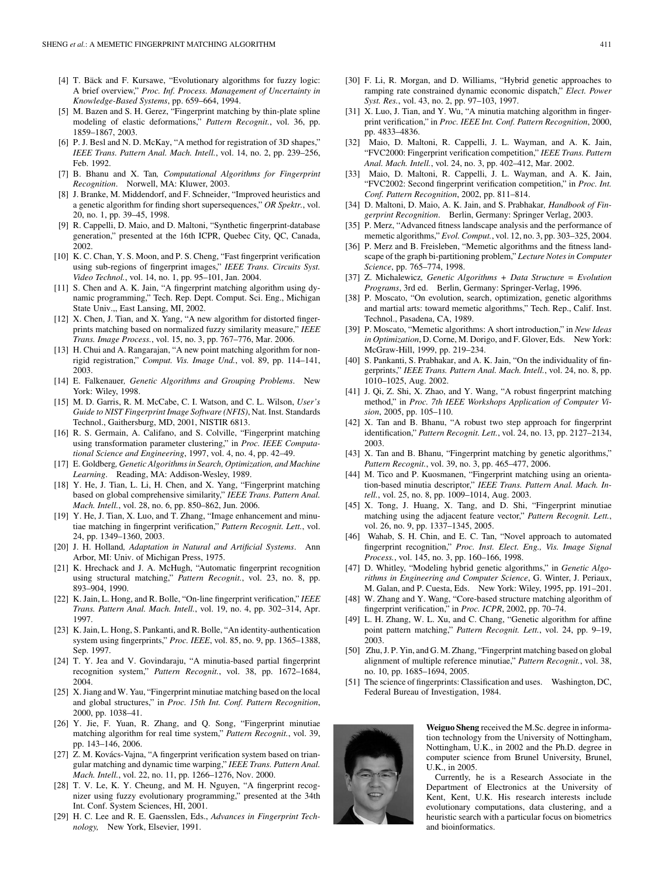- [4] T. Bäck and F. Kursawe, "Evolutionary algorithms for fuzzy logic: A brief overview," *Proc. Inf. Process. Management of Uncertainty in Knowledge-Based Systems*, pp. 659–664, 1994.
- [5] M. Bazen and S. H. Gerez, "Fingerprint matching by thin-plate spline modeling of elastic deformations," *Pattern Recognit.*, vol. 36, pp. 1859–1867, 2003.
- [6] P. J. Besl and N. D. McKay, "A method for registration of 3D shapes," *IEEE Trans. Pattern Anal. Mach. Intell.*, vol. 14, no. 2, pp. 239–256, Feb. 1992.
- [7] B. Bhanu and X. Tan*, Computational Algorithms for Fingerprint Recognition*. Norwell, MA: Kluwer, 2003.
- [8] J. Branke, M. Middendorf, and F. Schneider, "Improved heuristics and a genetic algorithm for finding short supersequences," *OR Spektr.*, vol. 20, no. 1, pp. 39–45, 1998.
- [9] R. Cappelli, D. Maio, and D. Maltoni, "Synthetic fingerprint-database generation," presented at the 16th ICPR, Quebec City, QC, Canada, 2002.
- [10] K. C. Chan, Y. S. Moon, and P. S. Cheng, "Fast fingerprint verification using sub-regions of fingerprint images," *IEEE Trans. Circuits Syst. Video Technol.*, vol. 14, no. 1, pp. 95–101, Jan. 2004.
- [11] S. Chen and A. K. Jain, "A fingerprint matching algorithm using dynamic programming," Tech. Rep. Dept. Comput. Sci. Eng., Michigan State Univ.,, East Lansing, MI, 2002.
- [12] X. Chen, J. Tian, and X. Yang, "A new algorithm for distorted fingerprints matching based on normalized fuzzy similarity measure," *IEEE Trans. Image Process.*, vol. 15, no. 3, pp. 767–776, Mar. 2006.
- [13] H. Chui and A. Rangarajan, "A new point matching algorithm for nonrigid registration," *Comput. Vis. Image Und.*, vol. 89, pp. 114–141, 2003.
- [14] E. Falkenauer*, Genetic Algorithms and Grouping Problems*. New York: Wiley, 1998.
- [15] M. D. Garris, R. M. McCabe, C. I. Watson, and C. L. Wilson, *User's Guide to NIST Fingerprint Image Software (NFIS)*, Nat. Inst. Standards Technol., Gaithersburg, MD, 2001, NISTIR 6813.
- [16] R. S. Germain, A. Califano, and S. Colville, "Fingerprint matching using transformation parameter clustering," in *Proc. IEEE Computational Science and Engineering*, 1997, vol. 4, no. 4, pp. 42–49.
- [17] E. Goldberg*, Genetic Algorithms in Search, Optimization, and Machine Learning*. Reading, MA: Addison-Wesley, 1989.
- [18] Y. He, J. Tian, L. Li, H. Chen, and X. Yang, "Fingerprint matching based on global comprehensive similarity," *IEEE Trans. Pattern Anal. Mach. Intell.*, vol. 28, no. 6, pp. 850–862, Jun. 2006.
- [19] Y. He, J. Tian, X. Luo, and T. Zhang, "Image enhancement and minutiae matching in fingerprint verification," *Pattern Recognit. Lett.*, vol. 24, pp. 1349–1360, 2003.
- [20] J. H. Holland*, Adaptation in Natural and Artificial Systems*. Ann Arbor, MI: Univ. of Michigan Press, 1975.
- [21] K. Hrechack and J. A. McHugh, "Automatic fingerprint recognition using structural matching," *Pattern Recognit.*, vol. 23, no. 8, pp. 893–904, 1990.
- [22] K. Jain, L. Hong, and R. Bolle, "On-line fingerprint verification," *IEEE Trans. Pattern Anal. Mach. Intell.*, vol. 19, no. 4, pp. 302–314, Apr. 1997.
- [23] K. Jain, L. Hong, S. Pankanti, and R. Bolle, "An identity-authentication system using fingerprints," *Proc. IEEE*, vol. 85, no. 9, pp. 1365–1388, Sep. 1997.
- [24] T. Y. Jea and V. Govindaraju, "A minutia-based partial fingerprint recognition system," *Pattern Recognit.*, vol. 38, pp. 1672–1684, 2004.
- [25] X. Jiang and W. Yau, "Fingerprint minutiae matching based on the local and global structures," in *Proc. 15th Int. Conf. Pattern Recognition*, 2000, pp. 1038–41.
- [26] Y. Jie, F. Yuan, R. Zhang, and Q. Song, "Fingerprint minutiae matching algorithm for real time system," *Pattern Recognit.*, vol. 39, pp. 143–146, 2006.
- [27] Z. M. Kovács-Vajna, "A fingerprint verification system based on triangular matching and dynamic time warping," *IEEE Trans. Pattern Anal. Mach. Intell.*, vol. 22, no. 11, pp. 1266–1276, Nov. 2000.
- [28] T. V. Le, K. Y. Cheung, and M. H. Nguyen, "A fingerprint recognizer using fuzzy evolutionary programming," presented at the 34th Int. Conf. System Sciences, HI, 2001.
- [29] H. C. Lee and R. E. Gaensslen, Eds., *Advances in Fingerprint Technology,* New York, Elsevier, 1991.
- [30] F. Li, R. Morgan, and D. Williams, "Hybrid genetic approaches to ramping rate constrained dynamic economic dispatch," *Elect. Power Syst. Res.*, vol. 43, no. 2, pp. 97–103, 1997.
- [31] X. Luo, J. Tian, and Y. Wu, "A minutia matching algorithm in fingerprint verification," in *Proc. IEEE Int. Conf. Pattern Recognition*, 2000, pp. 4833–4836.
- [32] Maio, D. Maltoni, R. Cappelli, J. L. Wayman, and A. K. Jain, "FVC2000: Fingerprint verification competition," *IEEE Trans. Pattern Anal. Mach. Intell.*, vol. 24, no. 3, pp. 402–412, Mar. 2002.
- [33] Maio, D. Maltoni, R. Cappelli, J. L. Wayman, and A. K. Jain, "FVC2002: Second fingerprint verification competition," in *Proc. Int. Conf. Pattern Recognition*, 2002, pp. 811–814.
- [34] D. Maltoni, D. Maio, A. K. Jain, and S. Prabhakar*, Handbook of Fingerprint Recognition*. Berlin, Germany: Springer Verlag, 2003.
- [35] P. Merz, "Advanced fitness landscape analysis and the performance of memetic algorithms," *Evol. Comput.*, vol. 12, no. 3, pp. 303–325, 2004.
- [36] P. Merz and B. Freisleben, "Memetic algorithms and the fitness landscape of the graph bi-partitioning problem," *Lecture Notes in Computer Science*, pp. 765–774, 1998.
- [37] Z. Michalewicz*, Genetic Algorithms + Data Structure = Evolution Programs*, 3rd ed. Berlin, Germany: Springer-Verlag, 1996.
- [38] P. Moscato, "On evolution, search, optimization, genetic algorithms and martial arts: toward memetic algorithms," Tech. Rep., Calif. Inst. Technol., Pasadena, CA, 1989.
- [39] P. Moscato, "Memetic algorithms: A short introduction," in *New Ideas in Optimization*, D. Corne, M. Dorigo, and F. Glover, Eds. New York: McGraw-Hill, 1999, pp. 219–234.
- [40] S. Pankanti, S. Prabhakar, and A. K. Jain, "On the individuality of fingerprints," *IEEE Trans. Pattern Anal. Mach. Intell.*, vol. 24, no. 8, pp. 1010–1025, Aug. 2002.
- [41] J. Qi, Z. Shi, X. Zhao, and Y. Wang, "A robust fingerprint matching method," in *Proc. 7th IEEE Workshops Application of Computer Vision*, 2005, pp. 105–110.
- [42] X. Tan and B. Bhanu, "A robust two step approach for fingerprint identification," *Pattern Recognit. Lett.*, vol. 24, no. 13, pp. 2127–2134, 2003.
- [43] X. Tan and B. Bhanu, "Fingerprint matching by genetic algorithms," *Pattern Recognit.*, vol. 39, no. 3, pp. 465–477, 2006.
- [44] M. Tico and P. Kuosmanen, "Fingerprint matching using an orientation-based minutia descriptor," *IEEE Trans. Pattern Anal. Mach. Intell.*, vol. 25, no. 8, pp. 1009–1014, Aug. 2003.
- [45] X. Tong, J. Huang, X. Tang, and D. Shi, "Fingerprint minutiae matching using the adjacent feature vector," *Pattern Recognit. Lett.*, vol. 26, no. 9, pp. 1337–1345, 2005.
- [46] Wahab, S. H. Chin, and E. C. Tan, "Novel approach to automated fingerprint recognition," *Proc. Inst. Elect. Eng., Vis. Image Signal Process.*, vol. 145, no. 3, pp. 160–166, 1998.
- [47] D. Whitley, "Modeling hybrid genetic algorithms," in *Genetic Algorithms in Engineering and Computer Science*, G. Winter, J. Periaux, M. Galan, and P. Cuesta, Eds. New York: Wiley, 1995, pp. 191–201.
- [48] W. Zhang and Y. Wang, "Core-based structure matching algorithm of fingerprint verification," in *Proc. ICPR*, 2002, pp. 70–74.
- [49] L. H. Zhang, W. L. Xu, and C. Chang, "Genetic algorithm for affine point pattern matching," *Pattern Recognit. Lett.*, vol. 24, pp. 9–19, 2003.
- [50] Zhu, J. P. Yin, and G. M. Zhang, "Fingerprint matching based on global alignment of multiple reference minutiae," *Pattern Recognit.*, vol. 38, no. 10, pp. 1685–1694, 2005.
- [51] The science of fingerprints: Classification and uses. Washington, DC, Federal Bureau of Investigation, 1984.



**Weiguo Sheng** received the M.Sc. degree in information technology from the University of Nottingham, Nottingham, U.K., in 2002 and the Ph.D. degree in computer science from Brunel University, Brunel, U.K., in 2005.

Currently, he is a Research Associate in the Department of Electronics at the University of Kent, Kent, U.K. His research interests include evolutionary computations, data clustering, and a heuristic search with a particular focus on biometrics and bioinformatics.